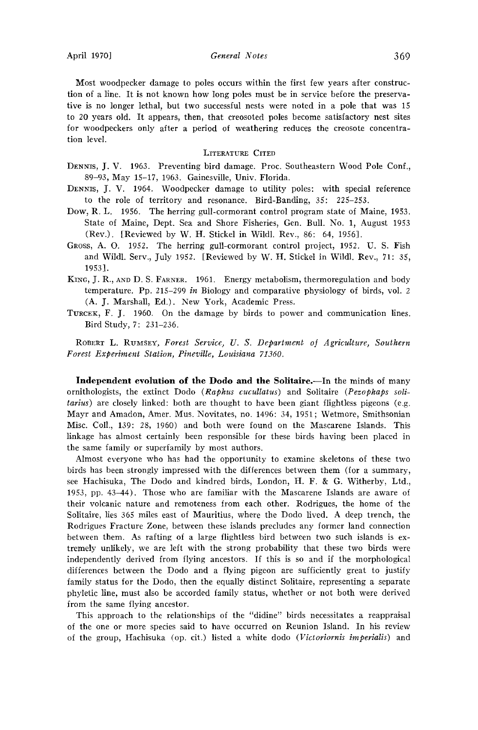April 1970] **General Notes** 369

**Most woodpecker damage to poles occurs within the first few years after construction of a line. It is not known how long poles must be in service before the preservative is no longer lethal, but two successful nests were noted in a pole that was 15 to 20 years old. It appears, then, that creosoted poles become satisfactory nest sites for woodpeckers only after a period of weathering reduces the creosote concentration level.** 

## **LITERATURE CITED**

- DENNIS, J. V. 1963. Preventing bird damage. Proc. Southeastern Wood Pole Conf., **89-93, May 15-17, 1963. Gainesville, Univ. Florida.**
- DENNIS, J. V. 1964. Woodpecker damage to utility poles: with special reference **to the role of territory and resonance. Bird-Banding, 35: 225-253.**
- **Dow, R.L. 1956. The herring gull-cormorant control program state of Maine, 1953. State of Maine, Dept. Sea and Shore Fisheries, Gen. Bull. No. 1, August 1953 (Rev.). [Reviewed by W. H. Stickel in Wildl. Rev., 86: 64, 1956].**
- **GROSS, A. O. 1952. The herring gull-cormorant control project, 1952. U.S. Fish and Wildl. Serv., July 1952. [Reviewed by W. H. Stickel in Wildl. Rev., 71: 35, 1953].**
- KING, J. R., AND D. S. FARNER. 1961. Energy metabolism, thermoregulation and body temperature. Pp. 215-299 *in* Biology and comparative physiology of birds, vol. 2 **(A. J. Marshal, Ed.). New York, Academic Press.**
- TURCEK, F. J. 1960. On the damage by birds to power and communication lines. **Bird Study, 7: 231-236.**

ROBERT L. RUMSEY, Forest Service, U. S. Department of Agriculture, Southern **Forest Expe•ment Station, Pineville, Louisiana 71360.** 

Independent evolution of the Dodo and the Solitaire.--In the minds of many **ornithologists, the extinct Dodo (Raphus cucullatus) and Solitaire (Pezophaps solitarius) are closely linked: both are thought to have been giant flightless pigeons (e.g. Mayr and Amadon, Amer. Mus. Novitates, no. 1496: 34, 1951; Wetmore, Smithsonian Misc. Coil., 139: 28, 1960) and both were found on the Mascarene Islands. This linkage has almost certainly been responsible for these birds having been placed in the same family or superfamily by most authors.** 

**Almost everyone who has had the opportunity to examine skeletons of these two birds has been strongly impressed with the differences between them (for a summary, see Hachisuka, The Dodo and kindred birds, London, H. F. & G. Witherby, Ltd., 1953, pp. 43-44). Those who are familiar with the Mascarene Islands are aware of their volcanic nature and remoteness from each other. Rodrigues, the home of the Solitaire, lies 365 miles east of Mauritius, where the Dodo lived. A deep trench, the Rodrigues Fracture Zone, between these islands precludes any former land connection between them. As rafting of a large flightless bird between two such islands is extremely unlikely, we are left with the strong probability that these two birds were independently derived from flying ancestors. If this is so and if the morphological differences between the Dodo and a flying pigeon are sufficiently great to justify family status for the Dodo, then the equally distinct Solitaire, representing a separate phyletic line, must also be accorded family status, whether or not both were derived from the same flying ancestor.** 

**This approach to the relationships of the "didinc" birds necessitates a reappraisal of the one or more species said to have occurred on Reunion Island. In his review of the group, Hachisuka (op. cit.) listed a white dodo (Victoriornis imperialis) and**